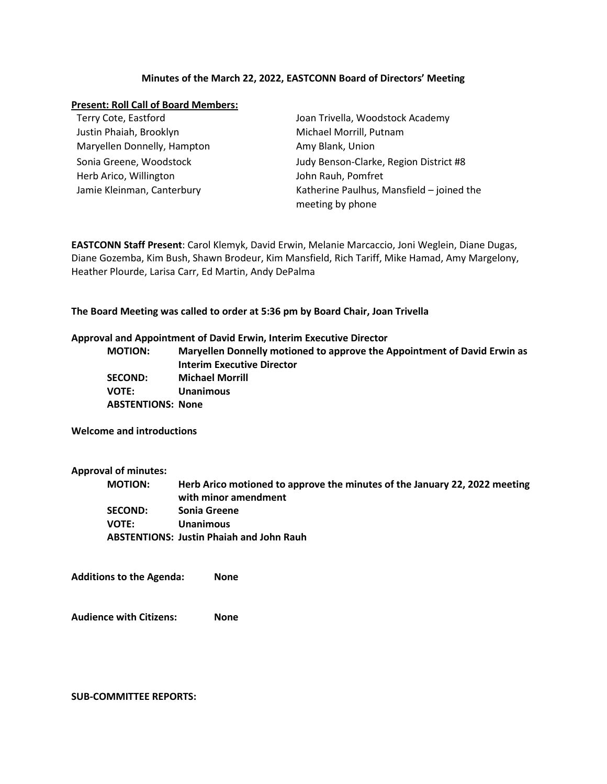## **Minutes of the March 22, 2022, EASTCONN Board of Directors' Meeting**

## **Present: Roll Call of Board Members:**

| Terry Cote, Eastford        | Joan Trivella, Woodstock Academy                              |
|-----------------------------|---------------------------------------------------------------|
| Justin Phaiah, Brooklyn     | Michael Morrill, Putnam                                       |
| Maryellen Donnelly, Hampton | Amy Blank, Union                                              |
| Sonia Greene, Woodstock     | Judy Benson-Clarke, Region District #8                        |
| Herb Arico, Willington      | John Rauh, Pomfret                                            |
| Jamie Kleinman, Canterbury  | Katherine Paulhus, Mansfield - joined the<br>meeting by phone |

**EASTCONN Staff Present**: Carol Klemyk, David Erwin, Melanie Marcaccio, Joni Weglein, Diane Dugas, Diane Gozemba, Kim Bush, Shawn Brodeur, Kim Mansfield, Rich Tariff, Mike Hamad, Amy Margelony, Heather Plourde, Larisa Carr, Ed Martin, Andy DePalma

**The Board Meeting was called to order at 5:36 pm by Board Chair, Joan Trivella**

### **Approval and Appointment of David Erwin, Interim Executive Director**

| <b>MOTION:</b>           | Maryellen Donnelly motioned to approve the Appointment of David Erwin as |
|--------------------------|--------------------------------------------------------------------------|
|                          | <b>Interim Executive Director</b>                                        |
| <b>SECOND:</b>           | <b>Michael Morrill</b>                                                   |
| <b>VOTE:</b>             | <b>Unanimous</b>                                                         |
| <b>ABSTENTIONS: None</b> |                                                                          |

**Welcome and introductions**

**Approval of minutes:**

| <b>MOTION:</b> | Herb Arico motioned to approve the minutes of the January 22, 2022 meeting |
|----------------|----------------------------------------------------------------------------|
|                | with minor amendment                                                       |
| <b>SECOND:</b> | Sonia Greene                                                               |
| <b>VOTE:</b>   | <b>Unanimous</b>                                                           |
|                | <b>ABSTENTIONS: Justin Phaiah and John Rauh</b>                            |

**Additions to the Agenda: None**

**Audience with Citizens: None**

**SUB-COMMITTEE REPORTS:**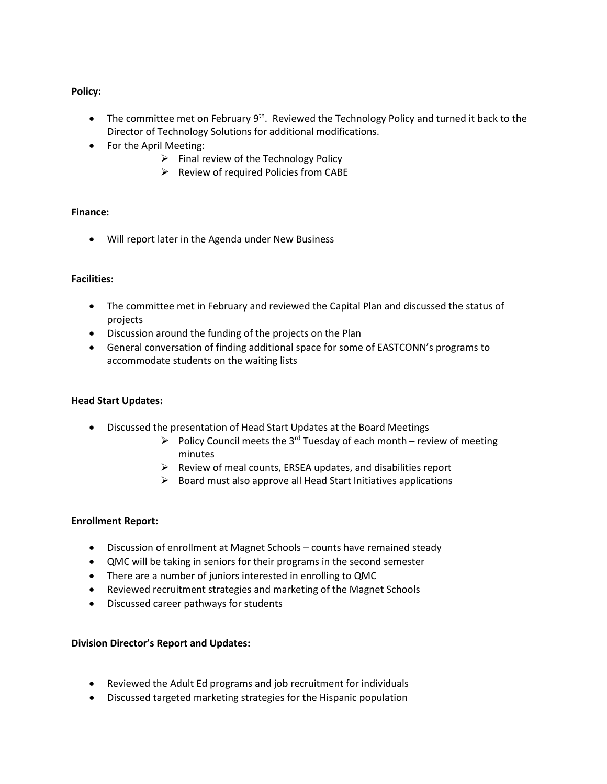# **Policy:**

- The committee met on February  $9^{th}$ . Reviewed the Technology Policy and turned it back to the Director of Technology Solutions for additional modifications.
- For the April Meeting:
	- $\triangleright$  Final review of the Technology Policy
	- $\triangleright$  Review of required Policies from CABE

# **Finance:**

• Will report later in the Agenda under New Business

## **Facilities:**

- The committee met in February and reviewed the Capital Plan and discussed the status of projects
- Discussion around the funding of the projects on the Plan
- General conversation of finding additional space for some of EASTCONN's programs to accommodate students on the waiting lists

# **Head Start Updates:**

- Discussed the presentation of Head Start Updates at the Board Meetings
	- Policy Council meets the 3<sup>rd</sup> Tuesday of each month review of meeting minutes
	- $\triangleright$  Review of meal counts, ERSEA updates, and disabilities report
	- $\triangleright$  Board must also approve all Head Start Initiatives applications

# **Enrollment Report:**

- Discussion of enrollment at Magnet Schools counts have remained steady
- QMC will be taking in seniors for their programs in the second semester
- There are a number of juniors interested in enrolling to QMC
- Reviewed recruitment strategies and marketing of the Magnet Schools
- Discussed career pathways for students

# **Division Director's Report and Updates:**

- Reviewed the Adult Ed programs and job recruitment for individuals
- Discussed targeted marketing strategies for the Hispanic population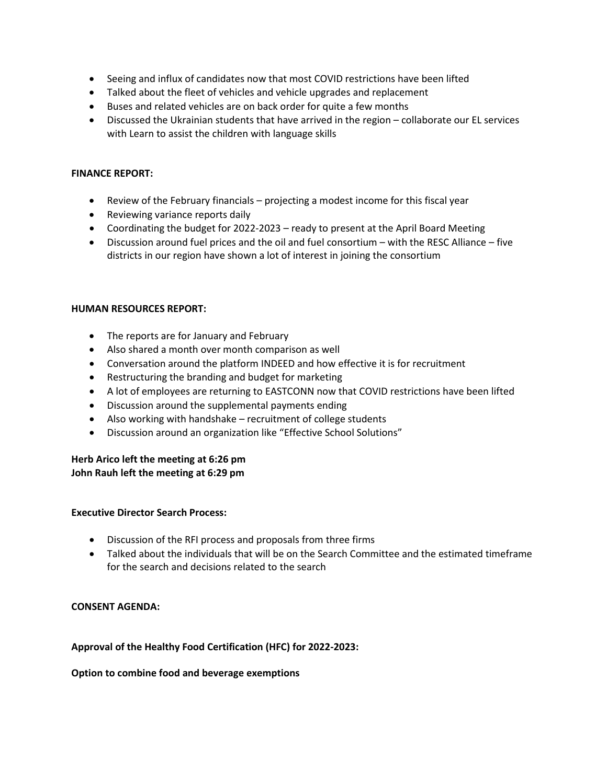- Seeing and influx of candidates now that most COVID restrictions have been lifted
- Talked about the fleet of vehicles and vehicle upgrades and replacement
- Buses and related vehicles are on back order for quite a few months
- Discussed the Ukrainian students that have arrived in the region collaborate our EL services with Learn to assist the children with language skills

## **FINANCE REPORT:**

- Review of the February financials projecting a modest income for this fiscal year
- Reviewing variance reports daily
- Coordinating the budget for 2022-2023 ready to present at the April Board Meeting
- Discussion around fuel prices and the oil and fuel consortium with the RESC Alliance five districts in our region have shown a lot of interest in joining the consortium

## **HUMAN RESOURCES REPORT:**

- The reports are for January and February
- Also shared a month over month comparison as well
- Conversation around the platform INDEED and how effective it is for recruitment
- Restructuring the branding and budget for marketing
- A lot of employees are returning to EASTCONN now that COVID restrictions have been lifted
- Discussion around the supplemental payments ending
- Also working with handshake recruitment of college students
- Discussion around an organization like "Effective School Solutions"

## **Herb Arico left the meeting at 6:26 pm John Rauh left the meeting at 6:29 pm**

# **Executive Director Search Process:**

- Discussion of the RFI process and proposals from three firms
- Talked about the individuals that will be on the Search Committee and the estimated timeframe for the search and decisions related to the search

# **CONSENT AGENDA:**

# **Approval of the Healthy Food Certification (HFC) for 2022-2023:**

#### **Option to combine food and beverage exemptions**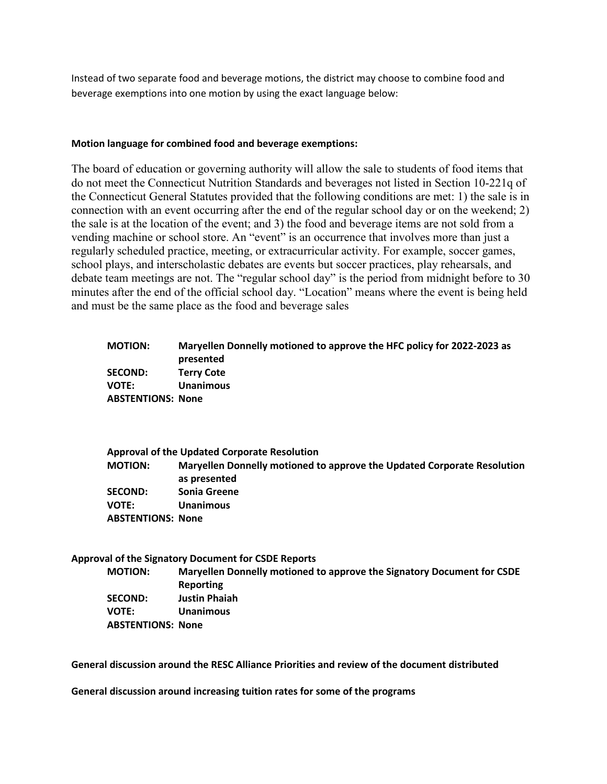Instead of two separate food and beverage motions, the district may choose to combine food and beverage exemptions into one motion by using the exact language below:

### **Motion language for combined food and beverage exemptions:**

The board of education or governing authority will allow the sale to students of food items that do not meet the Connecticut Nutrition Standards and beverages not listed in Section 10-221q of the Connecticut General Statutes provided that the following conditions are met: 1) the sale is in connection with an event occurring after the end of the regular school day or on the weekend; 2) the sale is at the location of the event; and 3) the food and beverage items are not sold from a vending machine or school store. An "event" is an occurrence that involves more than just a regularly scheduled practice, meeting, or extracurricular activity. For example, soccer games, school plays, and interscholastic debates are events but soccer practices, play rehearsals, and debate team meetings are not. The "regular school day" is the period from midnight before to 30 minutes after the end of the official school day. "Location" means where the event is being held and must be the same place as the food and beverage sales

| <b>MOTION:</b>           | Maryellen Donnelly motioned to approve the HFC policy for 2022-2023 as<br>presented     |
|--------------------------|-----------------------------------------------------------------------------------------|
| <b>SECOND:</b>           | <b>Terry Cote</b>                                                                       |
| <b>VOTE:</b>             | Unanimous                                                                               |
| <b>ABSTENTIONS: None</b> |                                                                                         |
|                          | Approval of the Updated Corporate Resolution                                            |
| <b>MOTION:</b>           | Maryellen Donnelly motioned to approve the Updated Corporate Resolution<br>as presented |
| <b>SECOND:</b>           | Sonia Greene                                                                            |
| <b>VOTE:</b>             | Unanimous                                                                               |

**ABSTENTIONS: None**

**Approval of the Signatory Document for CSDE Reports**

| <b>MOTION:</b>           | Maryellen Donnelly motioned to approve the Signatory Document for CSDE |
|--------------------------|------------------------------------------------------------------------|
|                          | Reporting                                                              |
| <b>SECOND:</b>           | <b>Justin Phaiah</b>                                                   |
| <b>VOTE:</b>             | <b>Unanimous</b>                                                       |
| <b>ABSTENTIONS: None</b> |                                                                        |

**General discussion around the RESC Alliance Priorities and review of the document distributed**

**General discussion around increasing tuition rates for some of the programs**